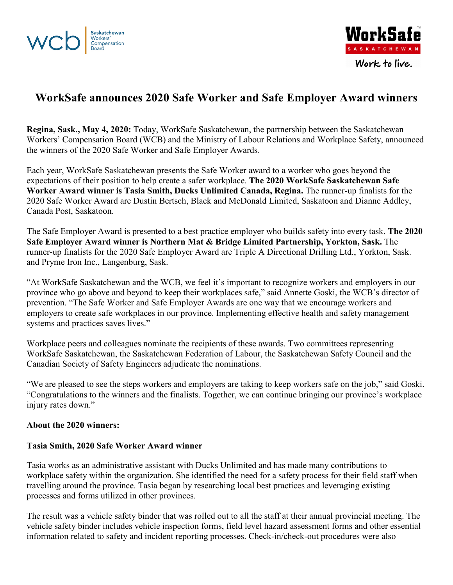



# **WorkSafe announces 2020 Safe Worker and Safe Employer Award winners**

**Regina, Sask., May 4, 2020:** Today, WorkSafe Saskatchewan, the partnership between the Saskatchewan Workers' Compensation Board (WCB) and the Ministry of Labour Relations and Workplace Safety, announced the winners of the 2020 Safe Worker and Safe Employer Awards.

Each year, WorkSafe Saskatchewan presents the Safe Worker award to a worker who goes beyond the expectations of their position to help create a safer workplace. **The 2020 WorkSafe Saskatchewan Safe Worker Award winner is Tasia Smith, Ducks Unlimited Canada, Regina.** The runner-up finalists for the 2020 Safe Worker Award are Dustin Bertsch, Black and McDonald Limited, Saskatoon and Dianne Addley, Canada Post, Saskatoon.

The Safe Employer Award is presented to a best practice employer who builds safety into every task. **The 2020 Safe Employer Award winner is Northern Mat & Bridge Limited Partnership, Yorkton, Sask.** The runner-up finalists for the 2020 Safe Employer Award are Triple A Directional Drilling Ltd., Yorkton, Sask. and Pryme Iron Inc., Langenburg, Sask.

"At WorkSafe Saskatchewan and the WCB, we feel it's important to recognize workers and employers in our province who go above and beyond to keep their workplaces safe," said Annette Goski, the WCB's director of prevention. "The Safe Worker and Safe Employer Awards are one way that we encourage workers and employers to create safe workplaces in our province. Implementing effective health and safety management systems and practices saves lives."

Workplace peers and colleagues nominate the recipients of these awards. Two committees representing WorkSafe Saskatchewan, the Saskatchewan Federation of Labour, the Saskatchewan Safety Council and the Canadian Society of Safety Engineers adjudicate the nominations.

"We are pleased to see the steps workers and employers are taking to keep workers safe on the job," said Goski. "Congratulations to the winners and the finalists. Together, we can continue bringing our province's workplace injury rates down."

#### **About the 2020 winners:**

#### **Tasia Smith, 2020 Safe Worker Award winner**

Tasia works as an administrative assistant with Ducks Unlimited and has made many contributions to workplace safety within the organization. She identified the need for a safety process for their field staff when travelling around the province. Tasia began by researching local best practices and leveraging existing processes and forms utilized in other provinces.

The result was a vehicle safety binder that was rolled out to all the staff at their annual provincial meeting. The vehicle safety binder includes vehicle inspection forms, field level hazard assessment forms and other essential information related to safety and incident reporting processes. Check-in/check-out procedures were also